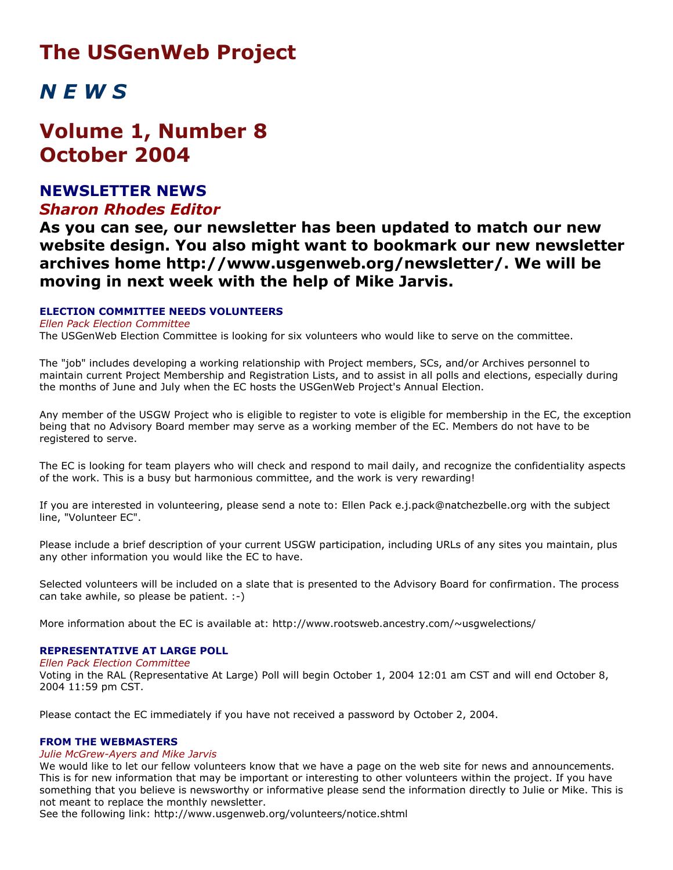# **The USGenWeb Project**

# *N E W S*

# **Volume 1, Number 8 October 2004**

# **NEWSLETTER NEWS** *Sharon Rhodes Editor*

**As you can see, our newsletter has been updated to match our new website design. You also might want to bookmark our new newsletter archives home http://www.usgenweb.org/newsletter/. We will be moving in next week with the help of Mike Jarvis.**

# **ELECTION COMMITTEE NEEDS VOLUNTEERS**

*Ellen Pack Election Committee*

The USGenWeb Election Committee is looking for six volunteers who would like to serve on the committee.

The "job" includes developing a working relationship with Project members, SCs, and/or Archives personnel to maintain current Project Membership and Registration Lists, and to assist in all polls and elections, especially during the months of June and July when the EC hosts the USGenWeb Project's Annual Election.

Any member of the USGW Project who is eligible to register to vote is eligible for membership in the EC, the exception being that no Advisory Board member may serve as a working member of the EC. Members do not have to be registered to serve.

The EC is looking for team players who will check and respond to mail daily, and recognize the confidentiality aspects of the work. This is a busy but harmonious committee, and the work is very rewarding!

If you are interested in volunteering, please send a note to: Ellen Pack e.j.pack@natchezbelle.org with the subject line, "Volunteer EC".

Please include a brief description of your current USGW participation, including URLs of any sites you maintain, plus any other information you would like the EC to have.

Selected volunteers will be included on a slate that is presented to the Advisory Board for confirmation. The process can take awhile, so please be patient. :-)

More information about the EC is available at: http://www.rootsweb.ancestry.com/~usgwelections/

# **REPRESENTATIVE AT LARGE POLL**

*Ellen Pack Election Committee*

Voting in the RAL (Representative At Large) Poll will begin October 1, 2004 12:01 am CST and will end October 8, 2004 11:59 pm CST.

Please contact the EC immediately if you have not received a password by October 2, 2004.

#### **FROM THE WEBMASTERS**

#### *Julie McGrew-Ayers and Mike Jarvis*

We would like to let our fellow volunteers know that we have a page on the web site for news and announcements. This is for new information that may be important or interesting to other volunteers within the project. If you have something that you believe is newsworthy or informative please send the information directly to Julie or Mike. This is not meant to replace the monthly newsletter.

See the following link: http://www.usgenweb.org/volunteers/notice.shtml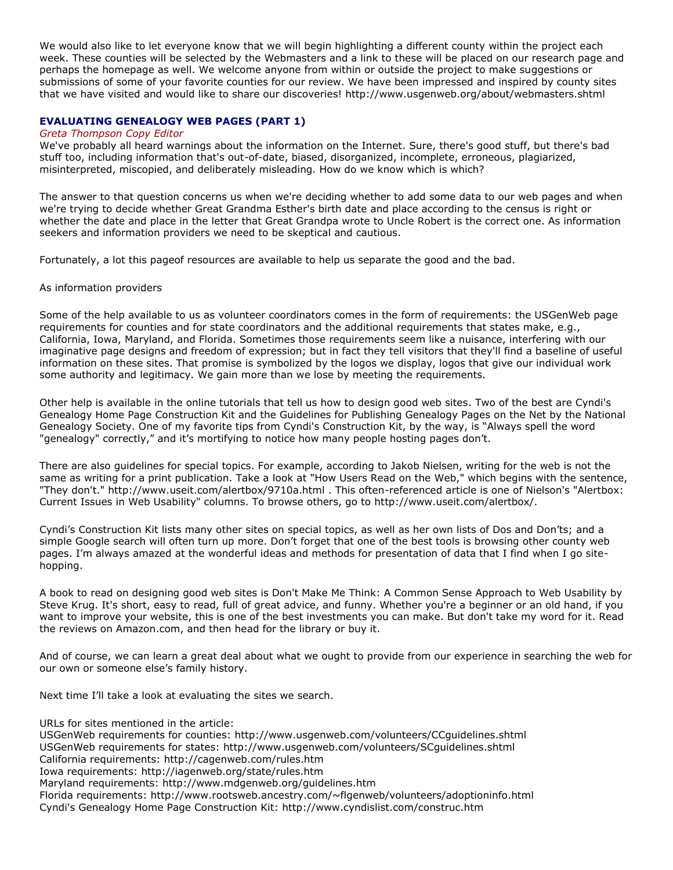We would also like to let everyone know that we will begin highlighting a different county within the project each week. These counties will be selected by the Webmasters and a link to these will be placed on our research page and perhaps the homepage as well. We welcome anyone from within or outside the project to make suggestions or submissions of some of your favorite counties for our review. We have been impressed and inspired by county sites that we have visited and would like to share our discoveries! http://www.usgenweb.org/about/webmasters.shtml

### **EVALUATING GENEALOGY WEB PAGES (PART 1)**

#### *Greta Thompson Copy Editor*

We've probably all heard warnings about the information on the Internet. Sure, there's good stuff, but there's bad stuff too, including information that's out-of-date, biased, disorganized, incomplete, erroneous, plagiarized, misinterpreted, miscopied, and deliberately misleading. How do we know which is which?

The answer to that question concerns us when we're deciding whether to add some data to our web pages and when we're trying to decide whether Great Grandma Esther's birth date and place according to the census is right or whether the date and place in the letter that Great Grandpa wrote to Uncle Robert is the correct one. As information seekers and information providers we need to be skeptical and cautious.

Fortunately, a lot this pageof resources are available to help us separate the good and the bad.

#### As information providers

Some of the help available to us as volunteer coordinators comes in the form of requirements: the USGenWeb page requirements for counties and for state coordinators and the additional requirements that states make, e.g., California, Iowa, Maryland, and Florida. Sometimes those requirements seem like a nuisance, interfering with our imaginative page designs and freedom of expression; but in fact they tell visitors that they'll find a baseline of useful information on these sites. That promise is symbolized by the logos we display, logos that give our individual work some authority and legitimacy. We gain more than we lose by meeting the requirements.

Other help is available in the online tutorials that tell us how to design good web sites. Two of the best are Cyndi's Genealogy Home Page Construction Kit and the Guidelines for Publishing Genealogy Pages on the Net by the National Genealogy Society. One of my favorite tips from Cyndi's Construction Kit, by the way, is "Always spell the word "genealogy" correctly," and it's mortifying to notice how many people hosting pages don't.

There are also guidelines for special topics. For example, according to Jakob Nielsen, writing for the web is not the same as writing for a print publication. Take a look at "How Users Read on the Web," which begins with the sentence, "They don't." http://www.useit.com/alertbox/9710a.html . This often-referenced article is one of Nielson's "Alertbox: Current Issues in Web Usability" columns. To browse others, go to http://www.useit.com/alertbox/.

Cyndi's Construction Kit lists many other sites on special topics, as well as her own lists of Dos and Don'ts; and a simple Google search will often turn up more. Don't forget that one of the best tools is browsing other county web pages. I'm always amazed at the wonderful ideas and methods for presentation of data that I find when I go sitehopping.

A book to read on designing good web sites is Don't Make Me Think: A Common Sense Approach to Web Usability by Steve Krug. It's short, easy to read, full of great advice, and funny. Whether you're a beginner or an old hand, if you want to improve your website, this is one of the best investments you can make. But don't take my word for it. Read the reviews on Amazon.com, and then head for the library or buy it.

And of course, we can learn a great deal about what we ought to provide from our experience in searching the web for our own or someone else's family history.

Next time I'll take a look at evaluating the sites we search.

URLs for sites mentioned in the article:

USGenWeb requirements for counties: http://www.usgenweb.com/volunteers/CCguidelines.shtml

USGenWeb requirements for states: http://www.usgenweb.com/volunteers/SCguidelines.shtml

California requirements: http://cagenweb.com/rules.htm

Iowa requirements: http://iagenweb.org/state/rules.htm

Maryland requirements: http://www.mdgenweb.org/guidelines.htm

Florida requirements: http://www.rootsweb.ancestry.com/~flgenweb/volunteers/adoptioninfo.html Cyndi's Genealogy Home Page Construction Kit: http://www.cyndislist.com/construc.htm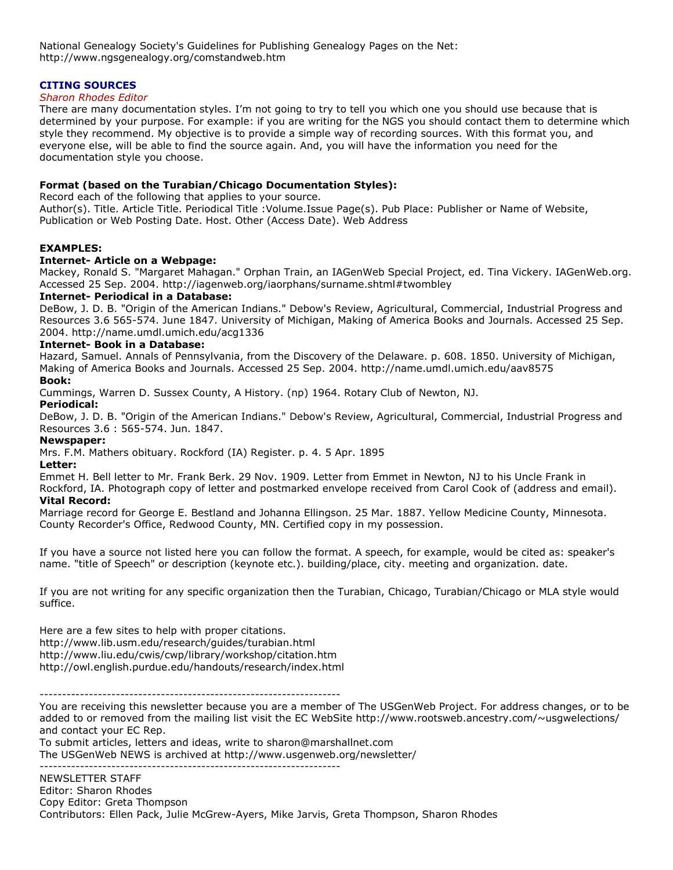National Genealogy Society's Guidelines for Publishing Genealogy Pages on the Net: http://www.ngsgenealogy.org/comstandweb.htm

# **CITING SOURCES**

#### *Sharon Rhodes Editor*

There are many documentation styles. I'm not going to try to tell you which one you should use because that is determined by your purpose. For example: if you are writing for the NGS you should contact them to determine which style they recommend. My objective is to provide a simple way of recording sources. With this format you, and everyone else, will be able to find the source again. And, you will have the information you need for the documentation style you choose.

# **Format (based on the Turabian/Chicago Documentation Styles):**

Record each of the following that applies to your source.

Author(s). Title. Article Title. Periodical Title :Volume.Issue Page(s). Pub Place: Publisher or Name of Website, Publication or Web Posting Date. Host. Other (Access Date). Web Address

# **EXAMPLES:**

#### **Internet- Article on a Webpage:**

Mackey, Ronald S. "Margaret Mahagan." Orphan Train, an IAGenWeb Special Project, ed. Tina Vickery. IAGenWeb.org. Accessed 25 Sep. 2004. http://iagenweb.org/iaorphans/surname.shtml#twombley

#### **Internet- Periodical in a Database:**

DeBow, J. D. B. "Origin of the American Indians." Debow's Review, Agricultural, Commercial, Industrial Progress and Resources 3.6 565-574. June 1847. University of Michigan, Making of America Books and Journals. Accessed 25 Sep. 2004. http://name.umdl.umich.edu/acg1336

### **Internet- Book in a Database:**

Hazard, Samuel. Annals of Pennsylvania, from the Discovery of the Delaware. p. 608. 1850. University of Michigan, Making of America Books and Journals. Accessed 25 Sep. 2004. http://name.umdl.umich.edu/aav8575

#### **Book:**

Cummings, Warren D. Sussex County, A History. (np) 1964. Rotary Club of Newton, NJ.

#### **Periodical:**

DeBow, J. D. B. "Origin of the American Indians." Debow's Review, Agricultural, Commercial, Industrial Progress and Resources 3.6 : 565-574. Jun. 1847.

# **Newspaper:**

Mrs. F.M. Mathers obituary. Rockford (IA) Register. p. 4. 5 Apr. 1895

#### **Letter:**

Emmet H. Bell letter to Mr. Frank Berk. 29 Nov. 1909. Letter from Emmet in Newton, NJ to his Uncle Frank in Rockford, IA. Photograph copy of letter and postmarked envelope received from Carol Cook of (address and email).

#### **Vital Record:**

Marriage record for George E. Bestland and Johanna Ellingson. 25 Mar. 1887. Yellow Medicine County, Minnesota. County Recorder's Office, Redwood County, MN. Certified copy in my possession.

If you have a source not listed here you can follow the format. A speech, for example, would be cited as: speaker's name. "title of Speech" or description (keynote etc.). building/place, city. meeting and organization. date.

If you are not writing for any specific organization then the Turabian, Chicago, Turabian/Chicago or MLA style would suffice.

Here are a few sites to help with proper citations. http://www.lib.usm.edu/research/guides/turabian.html http://www.liu.edu/cwis/cwp/library/workshop/citation.htm http://owl.english.purdue.edu/handouts/research/index.html

-------------------------------------------------------------------

You are receiving this newsletter because you are a member of The USGenWeb Project. For address changes, or to be added to or removed from the mailing list visit the EC WebSite http://www.rootsweb.ancestry.com/~usgwelections/ and contact your EC Rep.

To submit articles, letters and ideas, write to sharon@marshallnet.com The USGenWeb NEWS is archived at http://www.usgenweb.org/newsletter/

-------------------------------------------------------------------

NEWSLETTER STAFF Editor: Sharon Rhodes Copy Editor: Greta Thompson Contributors: Ellen Pack, Julie McGrew-Ayers, Mike Jarvis, Greta Thompson, Sharon Rhodes